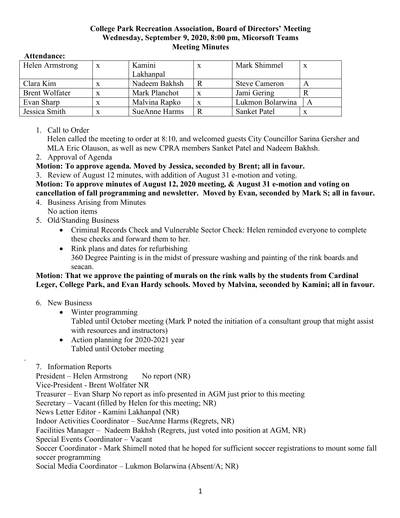#### **College Park Recreation Association, Board of Directors' Meeting Wednesday, September 9, 2020, 8:00 pm, Micorsoft Teams Meeting Minutes**

#### **Attendance:**

| Helen Armstrong       | X | Kamini        |   | Mark Shimmel         | $\boldsymbol{\mathrm{X}}$ |
|-----------------------|---|---------------|---|----------------------|---------------------------|
|                       |   | Lakhanpal     |   |                      |                           |
| Clara Kim             |   | Nadeem Bakhsh |   | <b>Steve Cameron</b> |                           |
| <b>Brent Wolfater</b> |   | Mark Planchot |   | Jami Gering          |                           |
| Evan Sharp            |   | Malvina Rapko | x | Lukmon Bolarwina     | A                         |
| Jessica Smith         |   | SueAnne Harms |   | Sanket Patel         | X                         |

## 1. Call to Order

Helen called the meeting to order at 8:10, and welcomed guests City Councillor Sarina Gersher and MLA Eric Olauson, as well as new CPRA members Sanket Patel and Nadeem Bakhsh.

2. Approval of Agenda

# **Motion: To approve agenda. Moved by Jessica, seconded by Brent; all in favour.**

3. Review of August 12 minutes, with addition of August 31 e-motion and voting.

**Motion: To approve minutes of August 12, 2020 meeting, & August 31 e-motion and voting on cancellation of fall programming and newsletter. Moved by Evan, seconded by Mark S; all in favour.**

- 4. Business Arising from Minutes No action items
- 5. Old/Standing Business
	- Criminal Records Check and Vulnerable Sector Check: Helen reminded everyone to complete these checks and forward them to her.
	- Rink plans and dates for refurbishing 360 Degree Painting is in the midst of pressure washing and painting of the rink boards and seacan.

## **Motion: That we approve the painting of murals on the rink walls by the students from Cardinal Leger, College Park, and Evan Hardy schools. Moved by Malvina, seconded by Kamini; all in favour.**

6. New Business

.

- Winter programming Tabled until October meeting (Mark P noted the initiation of a consultant group that might assist with resources and instructors)
- Action planning for 2020-2021 year Tabled until October meeting
- 7. Information Reports

President – Helen Armstrong No report (NR)

Vice-President - Brent Wolfater NR

Treasurer – Evan Sharp No report as info presented in AGM just prior to this meeting

Secretary – Vacant (filled by Helen for this meeting; NR)

News Letter Editor - Kamini Lakhanpal (NR)

Indoor Activities Coordinator – SueAnne Harms (Regrets, NR)

Facilities Manager – Nadeem Bakhsh (Regrets, just voted into position at AGM, NR)

Special Events Coordinator – Vacant

Soccer Coordinator - Mark Shimell noted that he hoped for sufficient soccer registrations to mount some fall soccer programming

Social Media Coordinator – Lukmon Bolarwina (Absent/A; NR)